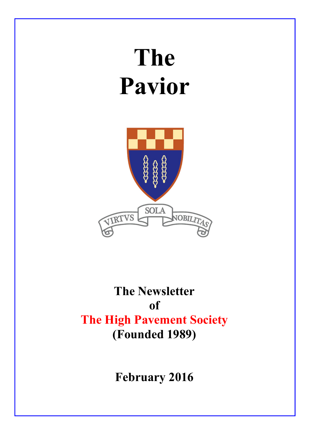# The Pavior



# The Newsletter of The High Pavement Society (Founded 1989)

February 2016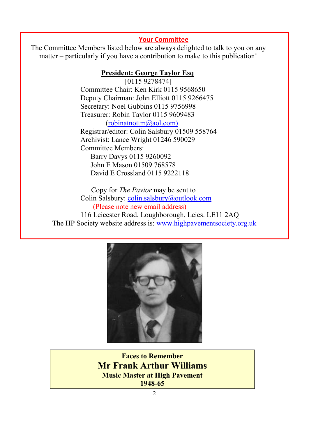#### Your Committee

The Committee Members listed below are always delighted to talk to you on any matter – particularly if you have a contribution to make to this publication!

#### President: George Taylor Esq

 [0115 9278474] Committee Chair: Ken Kirk 0115 9568650 Deputy Chairman: John Elliott 0115 9266475 Secretary: Noel Gubbins 0115 9756998 Treasurer: Robin Taylor 0115 9609483 (robinatnottm@aol.com) Registrar/editor: Colin Salsbury 01509 558764 Archivist: Lance Wright 01246 590029 Committee Members: Barry Davys 0115 9260092 John E Mason 01509 768578 David E Crossland 0115 9222118

 Copy for *The Pavior* may be sent to Colin Salsbury: colin.salsbury@outlook.com (Please note new email address) 116 Leicester Road, Loughborough, Leics. LE11 2AQ The HP Society website address is: www.highpavementsociety.org.uk



Faces to Remember Mr Frank Arthur Williams Music Master at High Pavement 1948-65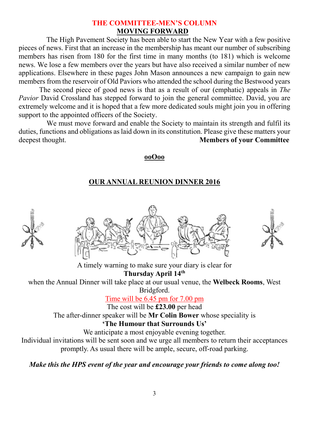# THE COMMITTEE-MEN'S COLUMN MOVING FORWARD

 The High Pavement Society has been able to start the New Year with a few positive pieces of news. First that an increase in the membership has meant our number of subscribing members has risen from 180 for the first time in many months (to 181) which is welcome news. We lose a few members over the years but have also received a similar number of new applications. Elsewhere in these pages John Mason announces a new campaign to gain new members from the reservoir of Old Paviors who attended the school during the Bestwood years

The second piece of good news is that as a result of our (emphatic) appeals in *The Pavior* David Crossland has stepped forward to join the general committee. David, you are extremely welcome and it is hoped that a few more dedicated souls might join you in offering support to the appointed officers of the Society.

 We must move forward and enable the Society to maintain its strength and fulfil its duties, functions and obligations as laid down in its constitution. Please give these matters your deepest thought. Members of your Committee

#### ooOoo

# OUR ANNUAL REUNION DINNER 2016

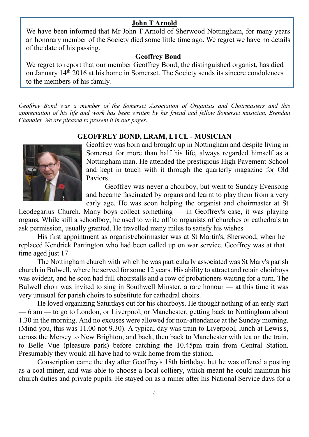#### John T Arnold

We have been informed that Mr John T Arnold of Sherwood Nottingham, for many years an honorary member of the Society died some little time ago. We regret we have no details of the date of his passing.

#### Geoffrey Bond

We regret to report that our member Geoffrey Bond, the distinguished organist, has died on January 14th 2016 at his home in Somerset. The Society sends its sincere condolences to the members of his family.

*Geoffrey Bond was a member of the Somerset Association of Organists and Choirmasters and this appreciation of his life and work has been written by his friend and fellow Somerset musician, Brendan Chandler. We are pleased to present it in our pages.*

#### GEOFFREY BOND, LRAM, LTCL - MUSICIAN



Geoffrey was born and brought up in Nottingham and despite living in Somerset for more than half his life, always regarded himself as a Nottingham man. He attended the prestigious High Pavement School and kept in touch with it through the quarterly magazine for Old Paviors.

Geoffrey was never a choirboy, but went to Sunday Evensong and became fascinated by organs and learnt to play them from a very early age. He was soon helping the organist and choirmaster at St

Leodegarius Church. Many boys collect something — in Geoffrey's case, it was playing organs. While still a schoolboy, he used to write off to organists of churches or cathedrals to ask permission, usually granted. He travelled many miles to satisfy his wishes

His first appointment as organist/choirmaster was at St Martin's, Sherwood, when he replaced Kendrick Partington who had been called up on war service. Geoffrey was at that time aged just 17

The Nottingham church with which he was particularly associated was St Mary's parish church in Bulwell, where he served for some 12 years. His ability to attract and retain choirboys was evident, and he soon had full choirstalls and a row of probationers waiting for a turn. The Bulwell choir was invited to sing in Southwell Minster, a rare honour — at this time it was very unusual for parish choirs to substitute for cathedral choirs.

He loved organizing Saturdays out for his choirboys. He thought nothing of an early start — 6 am — to go to London, or Liverpool, or Manchester, getting back to Nottingham about 1.30 in the morning. And no excuses were allowed for non-attendance at the Sunday morning. (Mind you, this was 11.00 not 9.30). A typical day was train to Liverpool, lunch at Lewis's, across the Mersey to New Brighton, and back, then back to Manchester with tea on the train, to Belle Vue (pleasure park) before catching the 10.45pm train from Central Station. Presumably they would all have had to walk home from the station.

Conscription came the day after Geoffrey's 18th birthday, but he was offered a posting as a coal miner, and was able to choose a local colliery, which meant he could maintain his church duties and private pupils. He stayed on as a miner after his National Service days for a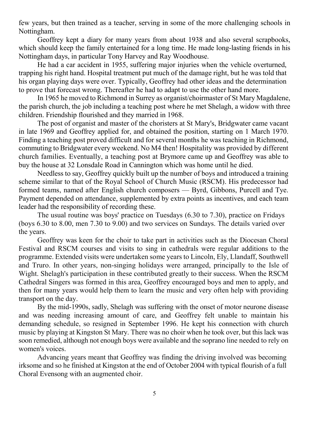few years, but then trained as a teacher, serving in some of the more challenging schools in Nottingham.

Geoffrey kept a diary for many years from about 1938 and also several scrapbooks, which should keep the family entertained for a long time. He made long-lasting friends in his Nottingham days, in particular Tony Harvey and Ray Woodhouse.

He had a car accident in 1955, suffering major injuries when the vehicle overturned, trapping his right hand. Hospital treatment put much of the damage right, but he was told that his organ playing days were over. Typically, Geoffrey had other ideas and the determination to prove that forecast wrong. Thereafter he had to adapt to use the other hand more.

In 1965 he moved to Richmond in Surrey as organist/choirmaster of St Mary Magdalene, the parish church, the job including a teaching post where he met Shelagh, a widow with three children. Friendship flourished and they married in 1968.

The post of organist and master of the choristers at St Mary's, Bridgwater came vacant in late 1969 and Geoffrey applied for, and obtained the position, starting on 1 March 1970. Finding a teaching post proved difficult and for several months he was teaching in Richmond, commuting to Bridgwater every weekend. No M4 then! Hospitality was provided by different church families. Eventually, a teaching post at Brymore came up and Geoffrey was able to buy the house at 32 Lonsdale Road in Cannington which was home until he died.

Needless to say, Geoffrey quickly built up the number of boys and introduced a training scheme similar to that of the Royal School of Church Music (RSCM). His predecessor had formed teams, named after English church composers — Byrd, Gibbons, Purcell and Tye. Payment depended on attendance, supplemented by extra points as incentives, and each team leader had the responsibility of recording these.

The usual routine was boys' practice on Tuesdays (6.30 to 7.30), practice on Fridays (boys 6.30 to 8.00, men 7.30 to 9.00) and two services on Sundays. The details varied over the years.

Geoffrey was keen for the choir to take part in activities such as the Diocesan Choral Festival and RSCM courses and visits to sing in cathedrals were regular additions to the programme. Extended visits were undertaken some years to Lincoln, Ely, Llandaff, Southwell and Truro. In other years, non-singing holidays were arranged, principally to the Isle of Wight. Shelagh's participation in these contributed greatly to their success. When the RSCM Cathedral Singers was formed in this area, Geoffrey encouraged boys and men to apply, and then for many years would help them to learn the music and very often help with providing transport on the day.

By the mid-1990s, sadly, Shelagh was suffering with the onset of motor neurone disease and was needing increasing amount of care, and Geoffrey felt unable to maintain his demanding schedule, so resigned in September 1996. He kept his connection with church music by playing at Kingston St Mary. There was no choir when he took over, but this lack was soon remedied, although not enough boys were available and the soprano line needed to rely on women's voices.

Advancing years meant that Geoffrey was finding the driving involved was becoming irksome and so he finished at Kingston at the end of October 2004 with typical flourish of a full Choral Evensong with an augmented choir.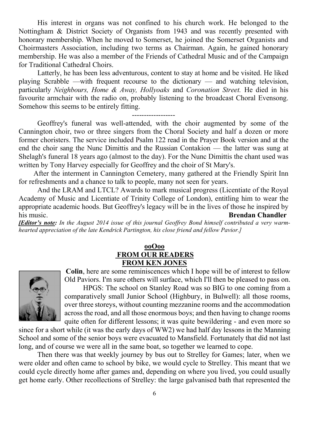His interest in organs was not confined to his church work. He belonged to the Nottingham & District Society of Organists from 1943 and was recently presented with honorary membership. When he moved to Somerset, he joined the Somerset Organists and Choirmasters Association, including two terms as Chairman. Again, he gained honorary membership. He was also a member of the Friends of Cathedral Music and of the Campaign for Traditional Cathedral Choirs.

Latterly, he has been less adventurous, content to stay at home and be visited. He liked playing Scrabble —with frequent recourse to the dictionary — and watching television, particularly *Neighbours, Home & Away, Hollyoaks* and *Coronation Street.* He died in his favourite armchair with the radio on, probably listening to the broadcast Choral Evensong. Somehow this seems to be entirely fitting.

------------------

Geoffrey's funeral was well-attended, with the choir augmented by some of the Cannington choir, two or three singers from the Choral Society and half a dozen or more former choristers. The service included Psalm 122 read in the Prayer Book version and at the end the choir sang the Nunc Dimittis and the Russian Contakion — the latter was sung at Shelagh's funeral 18 years ago (almost to the day). For the Nunc Dimittis the chant used was written by Tony Harvey especially for Geoffrey and the choir of St Mary's.

After the interment in Cannington Cemetery, many gathered at the Friendly Spirit Inn for refreshments and a chance to talk to people, many not seen for years.

And the LRAM and LTCL? Awards to mark musical progress (Licentiate of the Royal Academy of Music and Licentiate of Trinity College of London), entitling him to wear the appropriate academic hoods. But Geoffrey's legacy will be in the lives of those he inspired by his music. **Brendan Chandler** 

*[Editor's note: In the August 2014 issue of this journal Geoffrey Bond himself contributed a very warmhearted appreciation of the late Kendrick Partington, his close friend and fellow Pavior.]*

#### ooOoo FROM OUR READERS FROM KEN JONES



Colin, here are some reminiscences which I hope will be of interest to fellow Old Paviors. I'm sure others will surface, which I'll then be pleased to pass on.

HPGS: The school on Stanley Road was so BIG to one coming from a comparatively small Junior School (Highbury, in Bulwell): all those rooms, over three storeys, without counting mezzanine rooms and the accommodation across the road, and all those enormous boys; and then having to change rooms quite often for different lessons; it was quite bewildering - and even more so

since for a short while (it was the early days of WW2) we had half day lessons in the Manning School and some of the senior boys were evacuated to Mansfield. Fortunately that did not last long, and of course we were all in the same boat, so together we learned to cope.

Then there was that weekly journey by bus out to Strelley for Games; later, when we were older and often came to school by bike, we would cycle to Strelley. This meant that we could cycle directly home after games and, depending on where you lived, you could usually get home early. Other recollections of Strelley: the large galvanised bath that represented the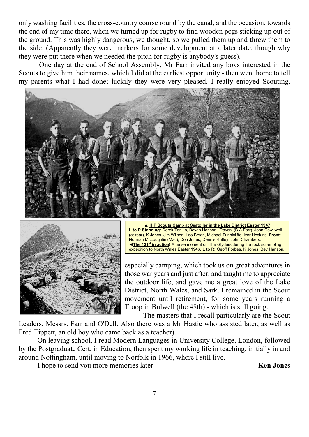only washing facilities, the cross-country course round by the canal, and the occasion, towards the end of my time there, when we turned up for rugby to find wooden pegs sticking up out of the ground. This was highly dangerous, we thought, so we pulled them up and threw them to the side. (Apparently they were markers for some development at a later date, though why they were put there when we needed the pitch for rugby is anybody's guess).

One day at the end of School Assembly, Mr Farr invited any boys interested in the Scouts to give him their names, which I did at the earliest opportunity - then went home to tell my parents what I had done; luckily they were very pleased. I really enjoyed Scouting,





▲ H P Scouts Camp at Seatoller in the Lake District Easter 1947 L to R Standing: Derek Tonkin, Bevan Hanson, 'Raven' (B A Farr), John Cawkwell (at rear), K Jones, Jim Wilson, Leo Bryan, Michael Tunnicliffe, Ivor Hoskins. Front: Norman McLoughlin (Mac), Don Jones, Dennis Rutley, John Chambers. ◄The 121st in action! A tense moment on The Glyders during the rock scrambling expedition to North Wales Easter 1946. L to R: Geoff Forbes, K Jones, Bev Hanson.

especially camping, which took us on great adventures in those war years and just after, and taught me to appreciate the outdoor life, and gave me a great love of the Lake District, North Wales, and Sark. I remained in the Scout movement until retirement, for some years running a Troop in Bulwell (the 48th) - which is still going.

The masters that I recall particularly are the Scout Leaders, Messrs. Farr and O'Dell. Also there was a Mr Hastie who assisted later, as well as Fred Tippett, an old boy who came back as a teacher).

On leaving school, I read Modern Languages in University College, London, followed by the Postgraduate Cert. in Education, then spent my working life in teaching, initially in and around Nottingham, until moving to Norfolk in 1966, where I still live.

I hope to send you more memories later Ken Jones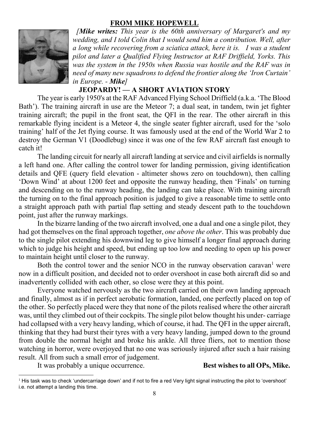#### FROM MIKE HOPEWELL



*[Mike writes: This year is the 60th anniversary of Margaret's and my wedding, and I told Colin that I would send him a contribution. Well, after a long while recovering from a sciatica attack, here it is. I was a student pilot and later a Qualified Flying Instructor at RAF Driffield, Yorks. This was the system in the 1950s when Russia was hostile and the RAF was in need of many new squadrons to defend the frontier along the 'Iron Curtain' in Europe. - Mike]*

# JEOPARDY! — A SHORT AVIATION STORY

The year is early 1950's at the RAF Advanced Flying School Driffield (a.k.a. 'The Blood Bath'). The training aircraft in use are the Meteor 7; a dual seat, in tandem, twin jet fighter training aircraft; the pupil in the front seat, the QFI in the rear. The other aircraft in this remarkable flying incident is a Meteor 4, the single seater fighter aircraft, used for the 'solo training' half of the Jet flying course. It was famously used at the end of the World War 2 to destroy the German V1 (Doodlebug) since it was one of the few RAF aircraft fast enough to catch it!

The landing circuit for nearly all aircraft landing at service and civil airfields is normally a left hand one. After calling the control tower for landing permission, giving identification details and QFE (query field elevation - altimeter shows zero on touchdown), then calling 'Down Wind' at about 1200 feet and opposite the runway heading, then 'Finals' on turning and descending on to the runway heading, the landing can take place. With training aircraft the turning on to the final approach position is judged to give a reasonable time to settle onto a straight approach path with partial flap setting and steady descent path to the touchdown point, just after the runway markings.

In the bizarre landing of the two aircraft involved, one a dual and one a single pilot, they had got themselves on the final approach together, *one above the other*. This was probably due to the single pilot extending his downwind leg to give himself a longer final approach during which to judge his height and speed, but ending up too low and needing to open up his power to maintain height until closer to the runway.

Both the control tower and the senior NCO in the runway observation caravan<sup>1</sup> were now in a difficult position, and decided not to order overshoot in case both aircraft did so and inadvertently collided with each other, so close were they at this point.

Everyone watched nervously as the two aircraft carried on their own landing approach and finally, almost as if in perfect aerobatic formation, landed, one perfectly placed on top of the other. So perfectly placed were they that none of the pilots realised where the other aircraft was, until they climbed out of their cockpits. The single pilot below thought his under- carriage had collapsed with a very heavy landing, which of course, it had. The QFI in the upper aircraft, thinking that they had burst their tyres with a very heavy landing, jumped down to the ground from double the normal height and broke his ankle. All three fliers, not to mention those watching in horror, were overjoyed that no one was seriously injured after such a hair raising result. All from such a small error of judgement.

It was probably a unique occurrence. Best wishes to all OPs, Mike.

<sup>&</sup>lt;sup>1</sup> His task was to check 'undercarriage down' and if not to fire a red Very light signal instructing the pilot to 'overshoot' i.e. not attempt a landing this time.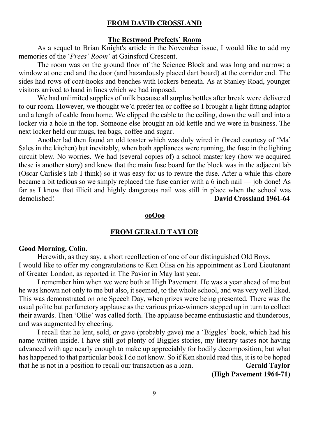#### FROM DAVID CROSSLAND

#### The Bestwood Prefects' Room

As a sequel to Brian Knight's article in the November issue, I would like to add my memories of the '*Prees' Room*' at Gainsford Crescent.

The room was on the ground floor of the Science Block and was long and narrow; a window at one end and the door (and hazardously placed dart board) at the corridor end. The sides had rows of coat-hooks and benches with lockers beneath. As at Stanley Road, younger visitors arrived to hand in lines which we had imposed.

We had unlimited supplies of milk because all surplus bottles after break were delivered to our room. However, we thought we'd prefer tea or coffee so I brought a light fitting adaptor and a length of cable from home. We clipped the cable to the ceiling, down the wall and into a locker via a hole in the top. Someone else brought an old kettle and we were in business. The next locker held our mugs, tea bags, coffee and sugar.

Another lad then found an old toaster which was duly wired in (bread courtesy of 'Ma' Sales in the kitchen) but inevitably, when both appliances were running, the fuse in the lighting circuit blew. No worries. We had (several copies of) a school master key (how we acquired these is another story) and knew that the main fuse board for the block was in the adjacent lab (Oscar Carlisle's lab I think) so it was easy for us to rewire the fuse. After a while this chore became a bit tedious so we simply replaced the fuse carrier with a 6 inch nail — job done! As far as I know that illicit and highly dangerous nail was still in place when the school was demolished! David Crossland 1961-64

#### ooOoo

#### FROM GERALD TAYLOR

#### Good Morning, Colin.

Herewith, as they say, a short recollection of one of our distinguished Old Boys. I would like to offer my congratulations to Ken Olisa on his appointment as Lord Lieutenant of Greater London, as reported in The Pavior in May last year.

I remember him when we were both at High Pavement. He was a year ahead of me but he was known not only to me but also, it seemed, to the whole school, and was very well liked. This was demonstrated on one Speech Day, when prizes were being presented. There was the usual polite but perfunctory applause as the various prize-winners stepped up in turn to collect their awards. Then 'Ollie' was called forth. The applause became enthusiastic and thunderous, and was augmented by cheering.

I recall that he lent, sold, or gave (probably gave) me a 'Biggles' book, which had his name written inside. I have still got plenty of Biggles stories, my literary tastes not having advanced with age nearly enough to make up appreciably for bodily decomposition; but what has happened to that particular book I do not know. So if Ken should read this, it is to be hoped that he is not in a position to recall our transaction as a loan. Gerald Taylor

(High Pavement 1964-71)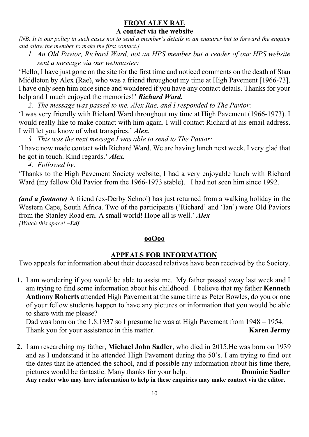# FROM ALEX RAE A contact via the website

*[NB. It is our policy in such cases not to send a member's details to an enquirer but to forward the enquiry and allow the member to make the first contact.]*

*1. An Old Pavior, Richard Ward, not an HPS member but a reader of our HPS website sent a message via our webmaster:*

'Hello, I have just gone on the site for the first time and noticed comments on the death of Stan Middleton by Alex (Rae), who was a friend throughout my time at High Pavement [1966-73]. I have only seen him once since and wondered if you have any contact details. Thanks for your help and I much enjoyed the memories!' *Richard Ward.*

*2. The message was passed to me, Alex Rae, and I responded to The Pavior:*

'I was very friendly with Richard Ward throughout my time at High Pavement (1966-1973). I would really like to make contact with him again. I will contact Richard at his email address. I will let you know of what transpires.' *Alex.*

*3. This was the next message I was able to send to The Pavior:*

'I have now made contact with Richard Ward. We are having lunch next week. I very glad that he got in touch. Kind regards.' *Alex.*

*4. Followed by:*

'Thanks to the High Pavement Society website, I had a very enjoyable lunch with Richard Ward (my fellow Old Pavior from the 1966-1973 stable). I had not seen him since 1992.

*(and a footnote)* A friend (ex-Derby School) has just returned from a walking holiday in the Western Cape, South Africa. Two of the participants ('Richard' and 'Ian') were Old Paviors from the Stanley Road era. A small world! Hope all is well.' *Alex [Watch this space! –Ed]*

# ooOoo

# APPEALS FOR INFORMATION

Two appeals for information about their deceased relatives have been received by the Society.

1. I am wondering if you would be able to assist me. My father passed away last week and I am trying to find some information about his childhood. I believe that my father Kenneth Anthony Roberts attended High Pavement at the same time as Peter Bowles, do you or one of your fellow students happen to have any pictures or information that you would be able to share with me please?

 Dad was born on the 1.8.1937 so I presume he was at High Pavement from 1948 – 1954. Thank you for your assistance in this matter. Karen Jermy

2. I am researching my father, Michael John Sadler, who died in 2015.He was born on 1939 and as I understand it he attended High Pavement during the 50's. I am trying to find out the dates that he attended the school, and if possible any information about his time there, pictures would be fantastic. Many thanks for your help. **Dominic Sadler** Any reader who may have information to help in these enquiries may make contact via the editor.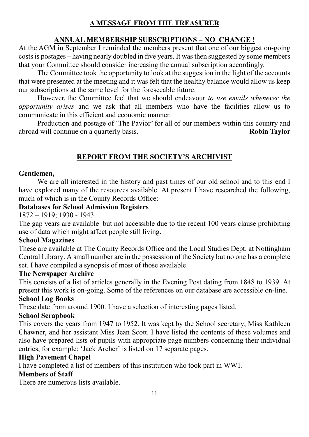# A MESSAGE FROM THE TREASURER

# ANNUAL MEMBERSHIP SUBSCRIPTIONS – NO CHANGE !

At the AGM in September I reminded the members present that one of our biggest on-going costs is postages – having nearly doubled in five years. It was then suggested by some members that your Committee should consider increasing the annual subscription accordingly.

The Committee took the opportunity to look at the suggestion in the light of the accounts that were presented at the meeting and it was felt that the healthy balance would allow us keep our subscriptions at the same level for the foreseeable future.

However, the Committee feel that we should endeavour *to use emails whenever the opportunity arises* and we ask that all members who have the facilities allow us to communicate in this efficient and economic manner.

Production and postage of 'The Pavior' for all of our members within this country and abroad will continue on a quarterly basis. **Robin Taylor** Robin Taylor

# REPORT FROM THE SOCIETY'S ARCHIVIST

## Gentlemen,

We are all interested in the history and past times of our old school and to this end I have explored many of the resources available. At present I have researched the following, much of which is in the County Records Office:

## Databases for School Admission Registers

1872 – 1919; 1930 - 1943

The gap years are available but not accessible due to the recent 100 years clause prohibiting use of data which might affect people still living.

## School Magazines

These are available at The County Records Office and the Local Studies Dept. at Nottingham Central Library. A small number are in the possession of the Society but no one has a complete set. I have compiled a synopsis of most of those available.

## The Newspaper Archive

This consists of a list of articles generally in the Evening Post dating from 1848 to 1939. At present this work is on-going. Some of the references on our database are accessible on-line.

# School Log Books

These date from around 1900. I have a selection of interesting pages listed.

## School Scrapbook

This covers the years from 1947 to 1952. It was kept by the School secretary, Miss Kathleen Chawner, and her assistant Miss Jean Scott. I have listed the contents of these volumes and also have prepared lists of pupils with appropriate page numbers concerning their individual entries, for example: 'Jack Archer' is listed on 17 separate pages.

## High Pavement Chapel

I have completed a list of members of this institution who took part in WW1.

## Members of Staff

There are numerous lists available.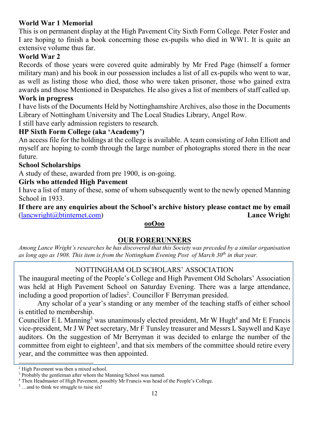# World War 1 Memorial

This is on permanent display at the High Pavement City Sixth Form College. Peter Foster and I are hoping to finish a book concerning those ex-pupils who died in WW1. It is quite an extensive volume thus far.

# World War 2

Records of those years were covered quite admirably by Mr Fred Page (himself a former military man) and his book in our possession includes a list of all ex-pupils who went to war, as well as listing those who died, those who were taken prisoner, those who gained extra awards and those Mentioned in Despatches. He also gives a list of members of staff called up.

#### Work in progress

I have lists of the Documents Held by Nottinghamshire Archives, also those in the Documents Library of Nottingham University and The Local Studies Library, Angel Row.

I still have early admission registers to research.

#### HP Sixth Form College (aka 'Academy')

An access file for the holdings at the college is available. A team consisting of John Elliott and myself are hoping to comb through the large number of photographs stored there in the near future.

#### School Scholarships

A study of these, awarded from pre 1900, is on-going.

#### Girls who attended High Pavement

I have a list of many of these, some of whom subsequently went to the newly opened Manning School in 1933.

If there are any enquiries about the School's archive history please contact me by email [\(lancwright@btinternet.com\)](mailto:lancwright@btinternet.com) Lance Wright

#### ooOoo

## OUR FORERUNNERS

*Among Lance Wright's researches he has discovered that this Society was preceded by a similar organisation as long ago as 1908. This item is from the Nottingham Evening Post of March 30th in that year.*

## NOTTINGHAM OLD SCHOLARS' ASSOCIATION

The inaugural meeting of the People's College and High Pavement Old Scholars' Association was held at High Pavement School on Saturday Evening. There was a large attendance, including a good proportion of ladies<sup>2</sup>. Councillor F Berryman presided.

Any scholar of a year's standing or any member of the teaching staffs of either school is entitled to membership.

Councillor E L Manning<sup>3</sup> was unanimously elected president, Mr W Hugh<sup>4</sup> and Mr E Francis vice-president, Mr J W Peet secretary, Mr F Tunsley treasurer and Messrs L Saywell and Kaye auditors. On the suggestion of Mr Berryman it was decided to enlarge the number of the committee from eight to eighteen<sup>5</sup>, and that six members of the committee should retire every year, and the committee was then appointed.

 <sup>2</sup> High Pavement was then a mixed school.

<sup>3</sup> Probably the gentleman after whom the Manning School was named.

<sup>4</sup> Then Headmaster of High Pavement, possibly Mr Francis was head of the People's College.

 $<sup>5</sup>$  …and to think we struggle to raise six!</sup>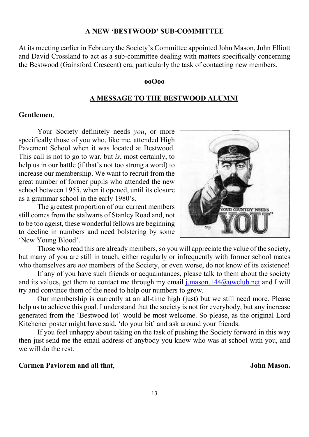#### A NEW 'BESTWOOD' SUB-COMMITTEE

At its meeting earlier in February the Society's Committee appointed John Mason, John Elliott and David Crossland to act as a sub-committee dealing with matters specifically concerning the Bestwood (Gainsford Crescent) era, particularly the task of contacting new members.

#### ooOoo

#### A MESSAGE TO THE BESTWOOD ALUMNI

#### Gentlemen,

Your Society definitely needs *you*, or more specifically those of you who, like me, attended High Pavement School when it was located at Bestwood. This call is not to go to war, but *is*, most certainly, to help us in our battle (if that's not too strong a word) to increase our membership. We want to recruit from the great number of former pupils who attended the new school between 1955, when it opened, until its closure as a grammar school in the early 1980's.

The greatest proportion of our current members still comes from the stalwarts of Stanley Road and, not to be too ageist, these wonderful fellows are beginning to decline in numbers and need bolstering by some 'New Young Blood'.

Those who read this are already members, so you will appreciate the value of the society, but many of you are still in touch, either regularly or infrequently with former school mates who themselves are *not* members of the Society, or even worse, do not know of its existence!

If any of you have such friends or acquaintances, please talk to them about the society and its values, get them to contact me through my email  $j$  mason. 144 $@$ uwclub.net and I will try and convince them of the need to help our numbers to grow.

Our membership is currently at an all-time high (just) but we still need more. Please help us to achieve this goal. I understand that the society is not for everybody, but any increase generated from the 'Bestwood lot' would be most welcome. So please, as the original Lord Kitchener poster might have said, 'do your bit' and ask around your friends.

If you feel unhappy about taking on the task of pushing the Society forward in this way then just send me the email address of anybody you know who was at school with you, and we will do the rest.

#### Carmen Paviorem and all that. Some of the state of the state of the state of the Solid Mason.

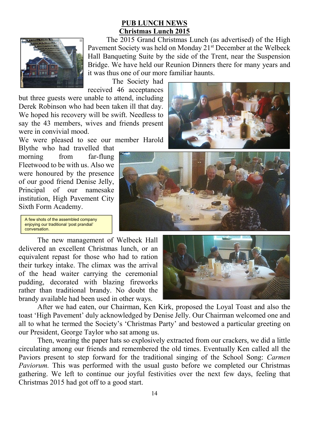# PUB LUNCH NEWS Christmas Lunch 2015



The 2015 Grand Christmas Lunch (as advertised) of the High Pavement Society was held on Monday 21<sup>st</sup> December at the Welbeck Hall Banqueting Suite by the side of the Trent, near the Suspension Bridge. We have held our Reunion Dinners there for many years and it was thus one of our more familiar haunts.

The Society had received 46 acceptances

but three guests were unable to attend, including Derek Robinson who had been taken ill that day. We hoped his recovery will be swift. Needless to say the 43 members, wives and friends present were in convivial mood.

We were pleased to see our member Harold

Blythe who had travelled that morning from far-flung Fleetwood to be with us. Also we were honoured by the presence of our good friend Denise Jelly, Principal of our namesake institution, High Pavement City Sixth Form Academy.

A few shots of the assembled company enjoying our traditional 'post prandial' conversation.

The new management of Welbeck Hall delivered an excellent Christmas lunch, or an equivalent repast for those who had to ration their turkey intake. The climax was the arrival of the head waiter carrying the ceremonial pudding, decorated with blazing fireworks rather than traditional brandy. No doubt the brandy available had been used in other ways.



After we had eaten, our Chairman, Ken Kirk, proposed the Loyal Toast and also the toast 'High Pavement' duly acknowledged by Denise Jelly. Our Chairman welcomed one and all to what he termed the Society's 'Christmas Party' and bestowed a particular greeting on our President, George Taylor who sat among us.

Then, wearing the paper hats so explosively extracted from our crackers, we did a little circulating among our friends and remembered the old times. Eventually Ken called all the Paviors present to step forward for the traditional singing of the School Song: *Carmen Paviorum.* This was performed with the usual gusto before we completed our Christmas gathering. We left to continue our joyful festivities over the next few days, feeling that Christmas 2015 had got off to a good start.

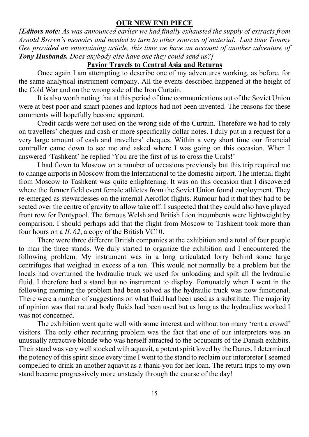#### OUR NEW END PIECE

*[Editors note: As was announced earlier we had finally exhausted the supply of extracts from Arnold Brown's memoirs and needed to turn to other sources of material. Last time Tommy Gee provided an entertaining article, this time we have an account of another adventure of Tony Husbands. Does anybody else have one they could send us?]*

## Pavior Travels to Central Asia and Returns

Once again I am attempting to describe one of my adventures working, as before, for the same analytical instrument company. All the events described happened at the height of the Cold War and on the wrong side of the Iron Curtain.

It is also worth noting that at this period of time communications out of the Soviet Union were at best poor and smart phones and laptops had not been invented. The reasons for these comments will hopefully become apparent.

Credit cards were not used on the wrong side of the Curtain. Therefore we had to rely on travellers' cheques and cash or more specifically dollar notes. I duly put in a request for a very large amount of cash and travellers' cheques. Within a very short time our financial controller came down to see me and asked where I was going on this occasion. When I answered 'Tashkent' he replied 'You are the first of us to cross the Urals!'

I had flown to Moscow on a number of occasions previously but this trip required me to change airports in Moscow from the International to the domestic airport. The internal flight from Moscow to Tashkent was quite enlightening. It was on this occasion that I discovered where the former field event female athletes from the Soviet Union found employment. They re-emerged as stewardesses on the internal Aeroflot flights. Rumour had it that they had to be seated over the centre of gravity to allow take off. I suspected that they could also have played front row for Pontypool. The famous Welsh and British Lion incumbents were lightweight by comparison. I should perhaps add that the flight from Moscow to Tashkent took more than four hours on a *IL 62*, a copy of the British VC10.

There were three different British companies at the exhibition and a total of four people to man the three stands. We duly started to organize the exhibition and I encountered the following problem. My instrument was in a long articulated lorry behind some large centrifuges that weighed in excess of a ton. This would not normally be a problem but the locals had overturned the hydraulic truck we used for unloading and spilt all the hydraulic fluid. I therefore had a stand but no instrument to display. Fortunately when I went in the following morning the problem had been solved as the hydraulic truck was now functional. There were a number of suggestions on what fluid had been used as a substitute. The majority of opinion was that natural body fluids had been used but as long as the hydraulics worked I was not concerned.

The exhibition went quite well with some interest and without too many 'rent a crowd' visitors. The only other recurring problem was the fact that one of our interpreters was an unusually attractive blonde who was herself attracted to the occupants of the Danish exhibits. Their stand was very well stocked with aquavit, a potent spirit loved by the Danes. I determined the potency of this spirit since every time I went to the stand to reclaim our interpreter I seemed compelled to drink an another aquavit as a thank-you for her loan. The return trips to my own stand became progressively more unsteady through the course of the day!